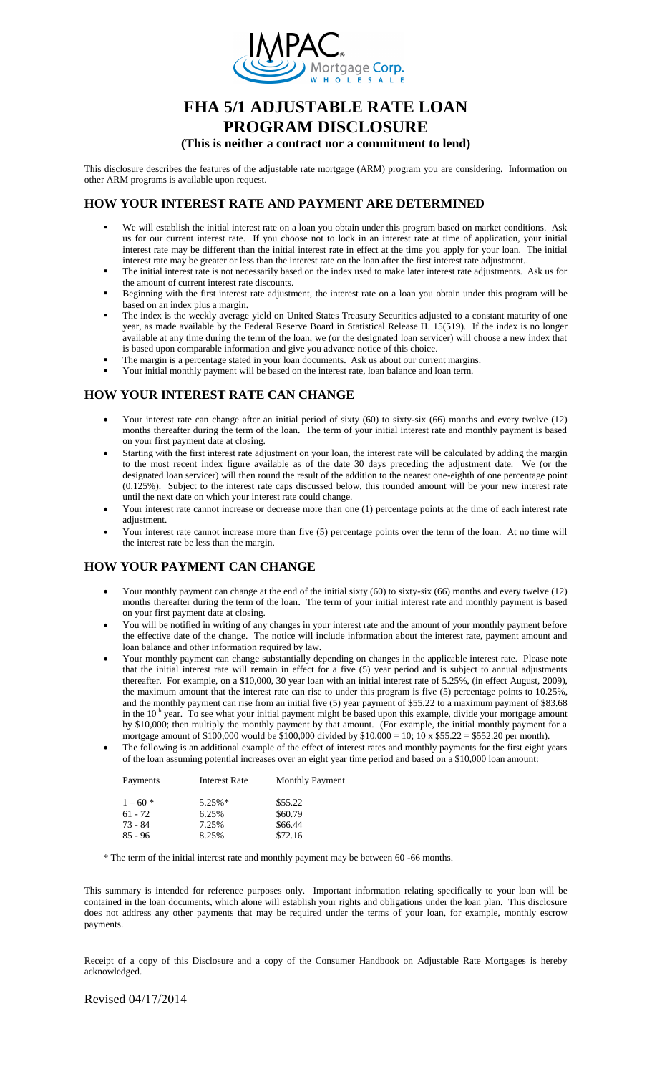

# **FHA 5/1 ADJUSTABLE RATE LOAN PROGRAM DISCLOSURE**

#### **(This is neither a contract nor a commitment to lend)**

This disclosure describes the features of the adjustable rate mortgage (ARM) program you are considering. Information on other ARM programs is available upon request.

#### **HOW YOUR INTEREST RATE AND PAYMENT ARE DETERMINED**

- We will establish the initial interest rate on a loan you obtain under this program based on market conditions. Ask us for our current interest rate. If you choose not to lock in an interest rate at time of application, your initial interest rate may be different than the initial interest rate in effect at the time you apply for your loan. The initial interest rate may be greater or less than the interest rate on the loan after the first interest rate adjustment..
- The initial interest rate is not necessarily based on the index used to make later interest rate adjustments. Ask us for the amount of current interest rate discounts.
- Beginning with the first interest rate adjustment, the interest rate on a loan you obtain under this program will be based on an index plus a margin.
- The index is the weekly average yield on United States Treasury Securities adjusted to a constant maturity of one year, as made available by the Federal Reserve Board in Statistical Release H. 15(519). If the index is no longer available at any time during the term of the loan, we (or the designated loan servicer) will choose a new index that is based upon comparable information and give you advance notice of this choice.
- The margin is a percentage stated in your loan documents. Ask us about our current margins.
- Your initial monthly payment will be based on the interest rate, loan balance and loan term.

## **HOW YOUR INTEREST RATE CAN CHANGE**

- Your interest rate can change after an initial period of sixty (60) to sixty-six (66) months and every twelve (12) months thereafter during the term of the loan. The term of your initial interest rate and monthly payment is based on your first payment date at closing.
- Starting with the first interest rate adjustment on your loan, the interest rate will be calculated by adding the margin to the most recent index figure available as of the date 30 days preceding the adjustment date. We (or the designated loan servicer) will then round the result of the addition to the nearest one-eighth of one percentage point (0.125%). Subject to the interest rate caps discussed below, this rounded amount will be your new interest rate until the next date on which your interest rate could change.
- Your interest rate cannot increase or decrease more than one (1) percentage points at the time of each interest rate adjustment.
- Your interest rate cannot increase more than five (5) percentage points over the term of the loan. At no time will the interest rate be less than the margin.

### **HOW YOUR PAYMENT CAN CHANGE**

- Your monthly payment can change at the end of the initial sixty (60) to sixty-six (66) months and every twelve (12) months thereafter during the term of the loan. The term of your initial interest rate and monthly payment is based on your first payment date at closing.
- You will be notified in writing of any changes in your interest rate and the amount of your monthly payment before the effective date of the change. The notice will include information about the interest rate, payment amount and loan balance and other information required by law.
- Your monthly payment can change substantially depending on changes in the applicable interest rate. Please note that the initial interest rate will remain in effect for a five (5) year period and is subject to annual adjustments thereafter. For example, on a \$10,000, 30 year loan with an initial interest rate of 5.25%, (in effect August, 2009), the maximum amount that the interest rate can rise to under this program is five (5) percentage points to 10.25%, and the monthly payment can rise from an initial five (5) year payment of \$55.22 to a maximum payment of \$83.68 in the 10<sup>th</sup> year. To see what your initial payment might be based upon this example, divide your mortgage amount by \$10,000; then multiply the monthly payment by that amount. (For example, the initial monthly payment for a mortgage amount of \$100,000 would be \$100,000 divided by \$10,000 = 10; 10 x \$55.22 = \$552.20 per month).
- The following is an additional example of the effect of interest rates and monthly payments for the first eight years of the loan assuming potential increases over an eight year time period and based on a \$10,000 loan amount:

| Payments   | <b>Interest Rate</b> | <b>Monthly Payment</b> |  |
|------------|----------------------|------------------------|--|
| $1 - 60$ * | $5.25\%*$            | \$55.22                |  |
| $61 - 72$  | 6.25%                | \$60.79                |  |
| 73 - 84    | 7.25%                | \$66.44                |  |
| $85 - 96$  | 8.25%                | \$72.16                |  |

\* The term of the initial interest rate and monthly payment may be between 60 -66 months.

This summary is intended for reference purposes only. Important information relating specifically to your loan will be contained in the loan documents, which alone will establish your rights and obligations under the loan plan. This disclosure does not address any other payments that may be required under the terms of your loan, for example, monthly escrow payments.

Receipt of a copy of this Disclosure and a copy of the Consumer Handbook on Adjustable Rate Mortgages is hereby acknowledged.